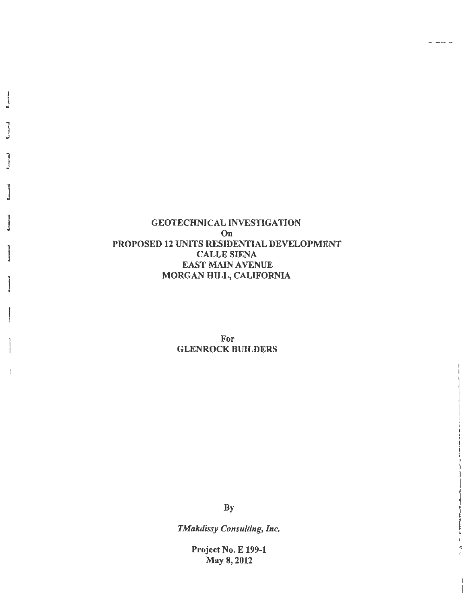**GEOTECHNICAL INVESTIGATION**  $On$ PROPOSED 12 UNITS RESIDENTIAL DEVELOPMENT **CALLE SIENA EAST MAIN AVENUE** MORGAN HILL, CALIFORNIA

د د.

<u>. . . . . . .</u>

 $\begin{bmatrix} \mu \\ \nu \\ \nu \end{bmatrix}$ 

For **GLENROCK BUILDERS** 

**By** 

TMakdissy Consulting, Inc.

**Project No. E 199-1** May 8, 2012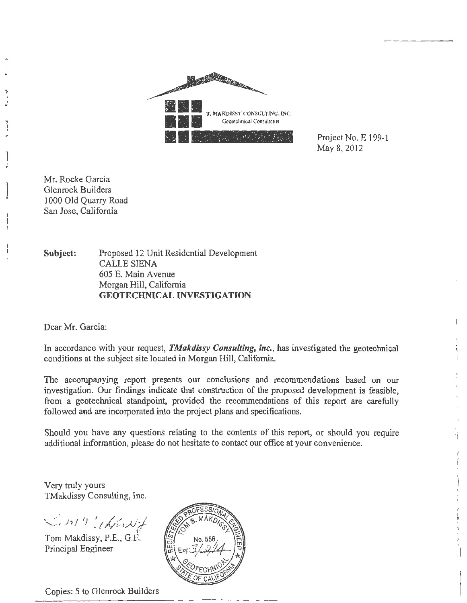

Project No. E 199-1 May 8, 2012

Mr. Rocke Garcia Gienrock Builders 1000 Old Ouarry Road San Jose, California

Subject: Proposed 12 Unit Residential Development **CALLE SIENA** 605 E. Main Avenue Morgan Hill, California **GEOTECHNICAL INVESTIGATION** 

Dear Mr. Garcia:

In accordance with your request, *TMakdissy Consulting*, *inc.*, has investigated the geotechnical conditions at the subject site located in Morgan Hill, California.

The accompanying report presents our conclusions and recommendations based on our investigation. Our findings indicate that construction of the proposed development is feasible, from a geotechnical standpoint, provided the recommendations of this report are carefully followed and are incorporated into the project plans and specifications.

Should you have any questions relating to the contents of this report, or should you require additional information, please do not hesitate to contact our office at your convenience.

Very truly yours TMakdissy Consulting, Inc.

Lin19 Whichit

Tom Makdissy, P.E., G.E. Principal Engineer



Copies: 5 to Glenrock Builders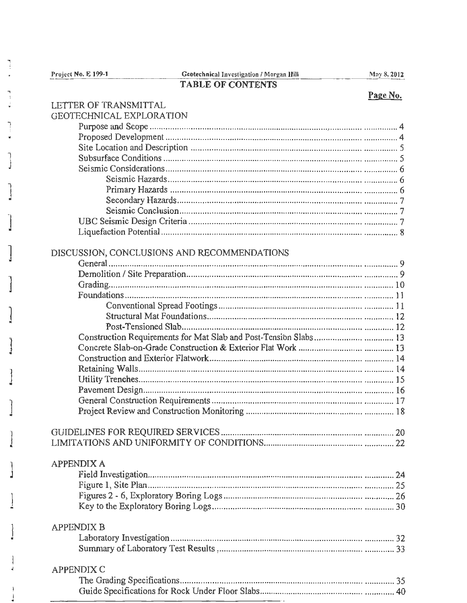Project No. E 199-1

|                                                                  | Page No. |
|------------------------------------------------------------------|----------|
| LETTER OF TRANSMITTAL                                            |          |
| <b>GEOTECHNICAL EXPLORATION</b>                                  |          |
|                                                                  |          |
|                                                                  |          |
|                                                                  |          |
|                                                                  |          |
|                                                                  |          |
|                                                                  |          |
|                                                                  |          |
|                                                                  |          |
|                                                                  |          |
|                                                                  |          |
|                                                                  |          |
| DISCUSSION, CONCLUSIONS AND RECOMMENDATIONS                      |          |
|                                                                  |          |
|                                                                  |          |
|                                                                  |          |
|                                                                  |          |
|                                                                  |          |
|                                                                  |          |
|                                                                  |          |
| Construction Requirements for Mat Slab and Post-Tension Slabs 13 |          |
|                                                                  |          |
|                                                                  |          |
|                                                                  |          |
|                                                                  |          |
|                                                                  |          |
|                                                                  |          |
|                                                                  |          |
|                                                                  |          |
|                                                                  |          |
|                                                                  |          |
| <b>APPENDIX A</b>                                                |          |
|                                                                  |          |
|                                                                  |          |
|                                                                  |          |
|                                                                  |          |
|                                                                  |          |
| <b>APPENDIX B</b>                                                |          |
|                                                                  |          |
|                                                                  |          |
| <b>APPENDIX C</b>                                                |          |
|                                                                  |          |
|                                                                  |          |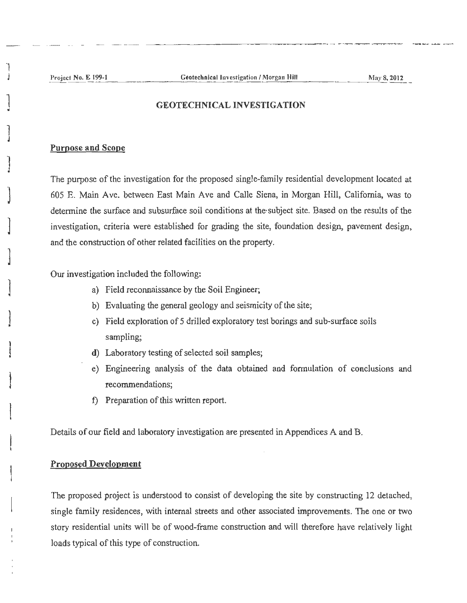')

]

1 J

)

)

 $\mathbf{I}$ 

1

 $\mathbf{I}$ 

 $\mathbf{L}$ 

 $\begin{array}{c} \begin{array}{c} \begin{array}{c} \begin{array}{c} \end{array} \end{array} \end{array} \end{array}$ 

### GEOTECHNICAL INVESTIGATION

### Purpose and Scope

The purpose of the investigation for the proposed single-family residential development located at 605 E. Main Ave. between East Main Ave and Calle Siena, in Morgan Hill, California, was to determine the surface and subsurface soil conditions at the· subject site. Based on the results of the investigation, criteria were established for grading the site, foundation design, pavement design, and the construction of other related facilities on the property.

Our investigation included the following:

- a) Field reconnaissance by the Soil Engineer;
- b) Evaluating the general geology and seismicity of the site;
- c) Field exploration of 5 drilled exploratory test borings and sub-surface soils sampling;
- d) Laboratory testing of selected soil samples;
- e) Engineering analysis of the data obtained and formulation of conclusions and recommendations;
- f) Preparation of this written report.

Details of our field and laboratory investigation are presented in Appendices A and B.

## Proposed Development

The proposed project is understood to consist of developing the site by constructing 12 detached, single family residences, with internal streets and other associated improvements. The one or two story residential units will be of wood-frame construction and will therefore have relatively light loads typical of this type of construction.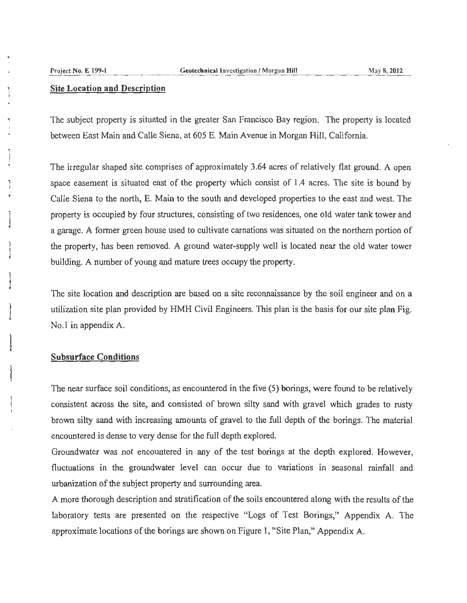#### **Site Location and Description**

The subject property is situated in the greater San Francisco Bay region. The property is located between East Main and Calle Siena, at 605 E. Main Avenue in Morgan Hill, California.

The irregular shaped site comprises of approximately 3 .64 acres of relatively flat ground. A open space easement is situated east of the property which consist of 1.4 acres. The site is bound by Calle Siena to the north, E. Main to the south and developed properties to the east and west. The property is occupied by four structures, consisting of two residences, one old water tank tower and a garage. A former green house used to cultivate carnations was situated on the northern portion of the property, has been removed. A ground water-supply well is located near the old water tower building. A number of young and mature trees occupy the property.

The site location and description are based on a site reconnaissance by the soil engineer and on a utilization site plan provided by HMH Civil Engineers. This plan is the basis for our site plan Fig. No. I in appendix A.

### **Subsurface Conditions**

The near surface soil conditions, as encountered in the five (5) borings, were found to be relatively consistent across the site, and consisted of brown silty sand with gravel which grades to rusty brown silty sand with increasing amounts of gravel to the full depth of the borings. The material encountered is dense to very dense for the full depth explored.

Groundwater was not encountered in any of the test borings at the depth explored. However, fluctuations in the groundwater level can occur due to variations in seasonal rainfall and urbanization of the subject property and surrounding area.

A more thorough description and stratification of the soils encountered along with the results of the laboratory tests are presented on the respective "Logs of Test Borings," Appendix A. The approximate locations of the borings are shown on Figure 1, "Site Plan," Appendix A.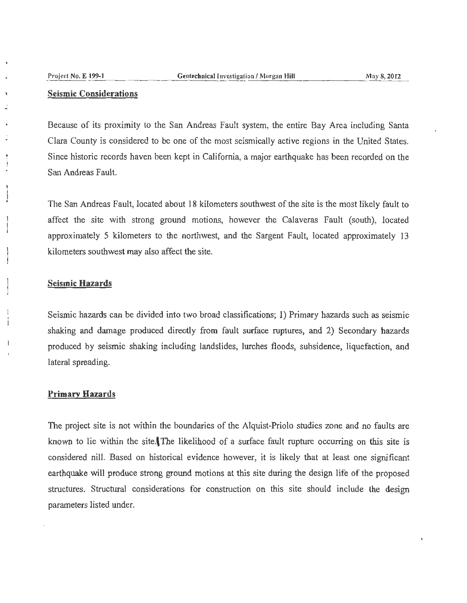### **Seismic Considerations**

Because of its proximity to the San Andreas Fault system, the entire Bay Area including Santa Clara County is considered to be one of the most seismically active regions in the United States. Since historic records haven been kept in California, a major earthquake has been recorded on the San Andreas Fault.

The San Andreas Fault, located about 18 kilometers southwest of the site is the most likely fault to affect the site with strong ground motions, however the Calaveras Fault (south), located approximately 5 kilometers to the northwest, and the Sargent Fault, located approximately 13 kilometers southwest may also affect the site.

#### **Seismic Hazards**

Seismic hazards can be divided into two broad classifications; 1) Primary hazards such as seismic shaking and damage produced directly from fault surface ruptures, and 2) Secondary hazards produced by seismic shaking including landslides, lurches floods, subsidence, liquefaction, and lateral spreading.

#### **Primary Hazards**

The project site is not within the boundaries of the Alquist-Priolo studies zone and no faults are known to lie within the site. The likelihood of a surface fault rupture occurring on this site is considered nill. Based on historical evidence however, it is likely that at least one significant earthquake will produce strong ground motions at this site during the desjgn life of the proposed structures. Structural considerations for construction on this site should include the design parameters listed under.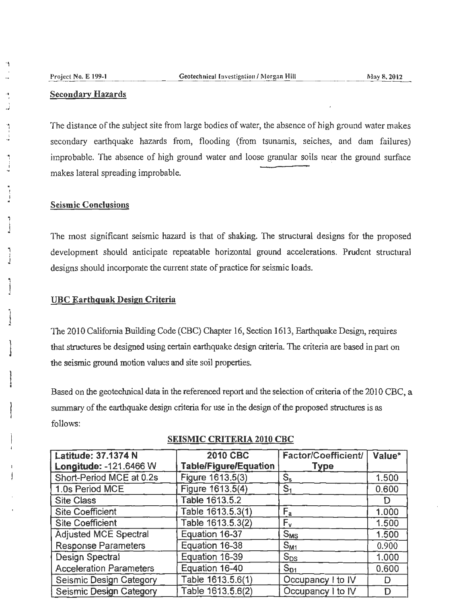'1

.. I .J .. f I

., i

. f I .. ր<br>1

J , j

" 1 J

 $\mathbf{I}$ 

### Secondary Hazards

The distance of the subject site from large bodies of water, the absence of high ground water makes secondary earthquake hazards from, flooding (from tsunamis, seiches, and dam failures) improbable. The absence of high ground water and loose granular soils near the ground surface. makes lateral spreading improbable.

### Seismic Conclusions

The most significant seismic hazard is that of shaking. The structural designs for the proposed development should anticipate repeatable horizontal ground accelerations. Prudent structural designs should incorporate the current state of practice for seismic Loads.

### UBC Earthquak Design Criteria

The 2010 California Building Code (CBC) Chapter 16, Section 1613, Earthquake Design, requires that structures be designed using certain earthquake design criteria. The criteria are based in part on the seismic ground motion values and site soil properties.

Based on the geotechnical data in the referenced report and the selection of criteria of the 2010 CBC, a summary of the earthquake design criteria for use in the design of the proposed structures is as follows:

| Latitude: 37.1374 N<br>Longitude: - 121.6466 W | <b>2010 CBC</b><br><b>Table/Figure/Equation</b> | Factor/Coefficient/<br><b>Type</b> | Value* |
|------------------------------------------------|-------------------------------------------------|------------------------------------|--------|
| Short-Period MCE at 0.2s                       | Figure 1613.5(3)                                | $S_{s}$                            | 1.500  |
| 1.0s Period MCE                                | Figure 1613.5(4)                                | S <sub>1</sub>                     | 0.600  |
| <b>Site Class</b>                              | Table 1613.5.2                                  |                                    | D      |
| <b>Site Coefficient</b>                        | Table 1613.5.3(1)                               | $F_a$                              | 1.000  |
| <b>Site Coefficient</b>                        | Table 1613.5.3(2)                               | $F_{\rm v}$                        | 1.500  |
| <b>Adjusted MCE Spectral</b>                   | Equation 16-37                                  | $S_{MS}$                           | 1.500  |
| <b>Response Parameters</b>                     | Equation 16-38                                  | $S_{M1}$                           | 0.900  |
| <b>Design Spectral</b>                         | Equation 16-39                                  | $S_{DS}$                           | 1.000  |
| <b>Acceleration Parameters</b>                 | Equation 16-40                                  | $S_{D1}$                           | 0.600  |
| <b>Seismic Design Category</b>                 | Table 1613.5.6(1)                               | Occupancy I to IV                  | D      |
| Seismic Design Category                        | Table 1613.5.6(2)                               | Occupancy I to IV                  | D      |

### SEISMIC CRITERIA 2010 CBC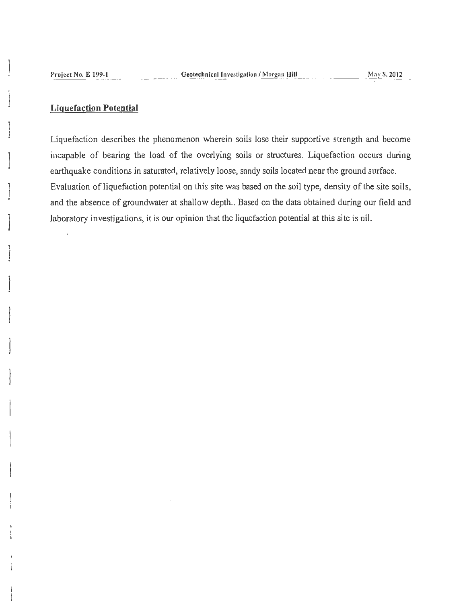#### **Liguefaction Potential**

Liquefaction describes the phenomenon wherein soils lose their supportive strength and become incapable of bearing the load of the overlying soils or structures. Liquefaction occurs during earthquake conditions in saturated, relatively loose, sandy soils located near the ground surface. Evaluation of liquefaction potential on this site was based on the soil type, density of the site soils, and the absence of groundwater at shallow depth.. Based on the data obtained during our field and laboratory investigations, it is our opinion that the liquefaction potential at this site is nil.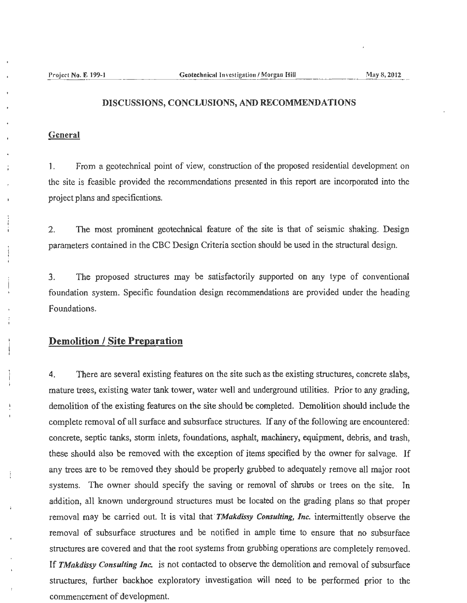#### DISCUSSIONS, CONCLUSIONS, AND RECOMMENDATIONS

### **General**

1. From a geotechnical point of view, construction of the proposed residential development on the site is feasible provided the recommendations presented in this report are incorporated into the project plans and specifications.

2. The most prominent geotechnical feature of the site is that of seismic shaking. Design parameters contained in the CBC Design Criteria section should be used in the structural design.

3. The proposed structures may be satisfactorily supported on any type of conventional foundation system. Specific foundation design recommendations are provided under the heading Foundations.

## **Demolition I Site Preparation**

4. There are several existing features on the site such as the existing structures, concrete slabs, mature trees, existing water tank tower, water well and underground utilities. Prior to any grading, demolition of the existing features on the site should be completed. Demolition should include the complete removal of all surface and subsurface structures. If any of the following are encountered: concrete, septic tanks, storm inlets, foundations, asphalt, machinery, equipment, debris, and trash, these should also be removed with the exception of items specified by the owner for salvage. If any trees are to be removed they should be properly grubbed to adequately remove all major root systems. The owner should specify the saving or removal of shrubs or trees on the site. In addition, all known underground structures must be located on the grading plans so that proper removal may be carried out. It is vital that· *TMakdissy Consulting, Inc.* intermittently observe the removal of subsurface structures and be notified in ample time to ensure that no subsurface structures are covered and that the root systems from grubbing operations are completely removed. If *TMakdissy Consulting.Inc.* is not contacted to observe the demolition and removal of subsurface structures, further backhoe exploratory investigation will need to be performed prior to the commencement of development.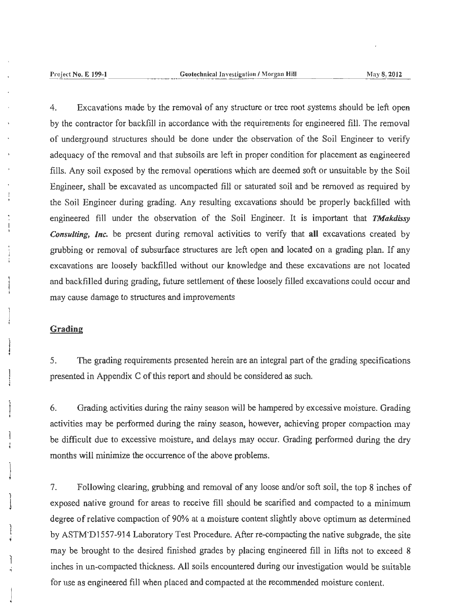4. Excavations made by the removal of any structure or tree root systems should be left open by the contractor for backfill in accordance with the requirements for engineered fill. The removal of underground structures should be done under the observation of the Soil Engineer to verify adequacy of the removal and that subsoils are left in proper condition for placement as engineered fills. Any soil exposed by the removal operations which are deemed soft or unsuitable by the Soil Engineer, shall be excavated as uncompacted fill or saturated soil and be removed as required by the Soil Engineer during grading. Any resulting excavations should be properly backfilled with engineered fill under the observation of the Soil Engineer. It is important that *TMakdissy Consulting, Inc.* be present during removal activities to verify that **all** excavations created by grubbing or removal of subsurface structures are left open and located on a grading plan. If any excavations are loosely backfilled without our knowledge and these excavations are not located and backfiJled during grading, future settlement of these loosely filled excavations could occur and may cause damage to structures and improvements

### **Grading**

l

5. The grading requirements presented herein are an integral part of the grading specifications presented in Appendix C of this report and should be considered as such.

6. Grading activities during the rainy season will be hampered by excessive moisture. Grading activities may be performed during the rainy season, however, achieving proper compaction may be difficult due to excessive moisture, and delays may occur. Grading performed during the dry months will minimize the occurrence of the above problems.

7. Following clearing, grubbing and removal of any loose and/or soft soil, the top 8 inches of exposed native ground for areas to receive fill should be scarified and compacted to a minimum degree of relative compaction of 90% at a moisture content slightly above optimum as determined by ASTM'D 1557-914 Laboratory Test Procedure. After re-compacting the native subgrade, the site may be brought to the desired finished grades by placing engineered fill in lifts not to exceed 8 inches in un-compacted thickness. All soils encountered during our investigation would be suitable for use as engineered fill when placed and compacted at the recommended moisture content.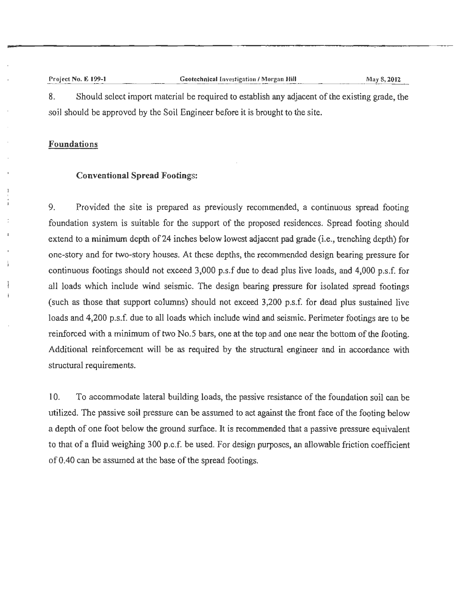#### Project No. E 199-1 Geotechnical Investigation / Morgan Hill Hill Ma May 8, 2012 8. Should select import material be required to establish any adjacent of the existing grade, the

soil should be approved by the Soil Engineer before it is brought to the site.

### Foundations

### Conventional Spread Footings:

9. Provided the site is prepared as previously recommended, a continuous spread footing foundation system is suitable for the support of the proposed residences. Spread footing should extend to a minimum depth of 24 inches below lowest adjacent pad grade (i.e., trenching depth) for one-story and for two-story houses. At these depths, the recommended design bearing pressure for continuous footings should not exceed 3,000 p.s.f due to dead plus live loads, and 4,000 p.s.f. for all loads which include wind seismic. The design bearing pressure for isolated spread footings (such as those that support columns) should not exceed 3,200 p.s.f. for dead plus sustained live loads and 4,200 p.s.f. due to all loads which include wind and seismic. Perimeter footings are to be reinforced with a minimum of two No.5 bars, one at the top and one near the bottom of the footing. Additional reinforcement will be as required by the structural engineer and in accordance with structural requirements.

10. To accommodate lateral building loads, the passive resistance of the foundation soil can be utilized. The passive soil pressure can be assumed to act against the front face of the footing below a depth of one foot below the ground surface. It is recommended that a passive pressure equivalent to that of a fluid weighing 300 p.c.f. be used. For design purposes, an allowable friction coefficient of 0 .40 can be assumed at the base of the spread footings.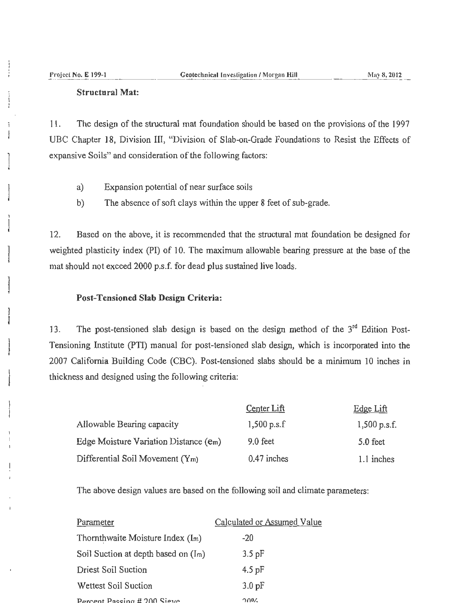i j

 $\mathbf{I}$ 

J

1

 $\begin{array}{c} \begin{array}{c} \begin{array}{c} \end{array} \end{array} \end{array}$ 

## **Structural Mat:**

11. The design of the structural mat foundation should be based on the provisions of the l 997 UBC Chapter 18, Division III, "Division of Slab-on-Grade Foundations to Resist the Effects of expansive Soils" and consideration of the following factors:

- a) Expansion potential of near surface soils
- b) The absence of soft clays within the upper 8 feet of sub-grade.

12. Based on the above, it is recommended that the structural mat foundation be designed for weighted plasticity index (PI) of 10. The maximum allowable bearing pressure at the base of the mat should not exceed 2000 p.s.f. for dead plus sustained live loads.

### **Post-Tensioned Slab Design Criteria:**

13. The post-tensioned slab design is based on the design method of the  $3<sup>rd</sup>$  Edition Post-Tensioning Institute (PTI) manual for post-tensioned slab design, which is incorporated into the 2007 California Building Code (CBC). Post-tensioned slabs should be a minimum 10 inches in thickness and designed using the following criteria:

|                                          | Center Lift   | Edge Lift      |
|------------------------------------------|---------------|----------------|
| Allowable Bearing capacity               | $1,500$ p.s.f | $1,500$ p.s.f. |
| Edge Moisture Variation Distance $(e_m)$ | $9.0$ feet    | 5.0 feet       |
| Differential Soil Movement $(Y_m)$       | $0.47$ inches | 1.1 inches     |

The above design values are based on the following soil and climate parameters:

| Parameter                              | Calculated or Assumed Value |
|----------------------------------------|-----------------------------|
| Thornthwaite Moisture Index (Im)       | $-20$                       |
| Soil Suction at depth based on $(I_m)$ | $3.5$ pF                    |
| <b>Driest Soil Suction</b>             | $4.5 \,\mathrm{pF}$         |
| Wettest Soil Suction                   | $3.0 \,\mathrm{pF}$         |
| Darcent Paccing # 200 Sieve            | ገበዐረ                        |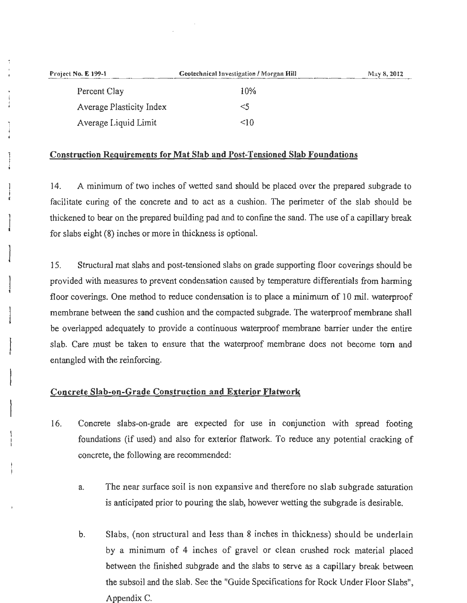| Project No. E 199-1             | Geotechnical Investigation / Morgan Hill | May 8, 2012 |
|---------------------------------|------------------------------------------|-------------|
| Percent Clay                    | 10%                                      |             |
| <b>Average Plasticity Index</b> | <5                                       |             |
| Average Liquid Limit            | $\leq 10$                                |             |

### Construction Requirements for Mat Slab and Post-Tensioned Slab Foundations

14. A minimum of two inches of wetted sand should be placed over the prepared subgrade to facilitate curing of the concrete and to act as a cushion. The perimeter of the slab should be thickened to bear on the prepared building pad and to confine the sand. The use of a capillary break for slabs eight (8) inches or more in thickness is optional.

15. Structural mat slabs and post-tensioned slabs on grade supporting floor coverings should be provided with measures to prevent condensation caused by temperature differentials from harming floor coverings. One method to reduce condensation is to place a minimum of 10 mil. waterproof membrane between the sand cushion and the compacted subgrade. The waterproof membrane shall be overlapped adequately to provide a continuous waterproof membrane barrier under the entire slab. Care must be taken to ensure that the waterproof membrane does not become tom and entangled with the reinforcing.

### Concrete Slab-on-Grade Construction and Exterior Flatwork

- I 6. Concrete slabs-on-grade are expected for use in conjunction with spread footing foundations (if used) and also for exterior flatwork. To reduce any potential cracking of concrete, the following are recommended:
	- a. The near surface soil is non expansive and therefore no slab subgrade saturation is anticipated prior to pouring the slab, however wetting the subgrade is desirable.
	- b. Slabs, (non structural and less than 8 inches in thickness) should be underlain by a minimum of 4 inches of gravel or clean crushed rock material placed between the finished subgrade and the slabs to serve as a capillary break between the subsoil and the slab. See the "Guide Specifications for Rock Under Floor Slabs", Appendix C.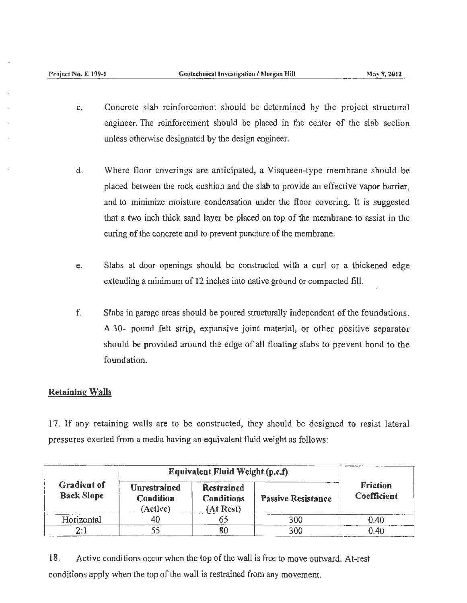- c. Concrete slab reinforcement should be determined by the project structural engineer. The reinforcement should be placed in the center of the slab section unless otherwise designated by the design engineer.
- d. Where floor coverings are anticipated, a Visqueen-type membrane should be placed between the rock cushion and the slab to provide an effective vapor barrier, and to minimize moisture condensation under the floor covering. It is suggested that a two inch thick sand layer be placed on top of the membrane to assist in the curing of the concrete and to prevent puncture of the membrane.
- e. Slabs at door openings should be constructed with a curl or a thickened edge extending a minimum of 12 inches into native ground or compacted fill.
- f. Slabs in garage areas should be poured structurally independent of the foundations. A 30- pound felt strip, expansive joint material, or other positive separator should be provided around the edge of all floating slabs to prevent bond to the foundation.

### Retaining Walls

17. If any retaining walls are to be constructed, they should be designed to resist lateral pressures exerted from a media having an equivalent fluid weight as follows:

|                                         | Equivalent Fluid Weight (p.c.f)                     |                                                     |                           |                                       |
|-----------------------------------------|-----------------------------------------------------|-----------------------------------------------------|---------------------------|---------------------------------------|
| <b>Gradient of</b><br><b>Back Slope</b> | <b>Unrestrained</b><br><b>Condition</b><br>(Active) | <b>Restrained</b><br><b>Conditions</b><br>(At Rest) | <b>Passive Resistance</b> | <b>Friction</b><br><b>Coefficient</b> |
| Horizontal                              | 40                                                  |                                                     | 300                       | 0.40                                  |
|                                         |                                                     | ðυ                                                  | 300                       | በ 40                                  |

18. Active conditions occur when the top of the wall is free to move outward. At-rest conditions apply when the top of the wall is restrained from any movement.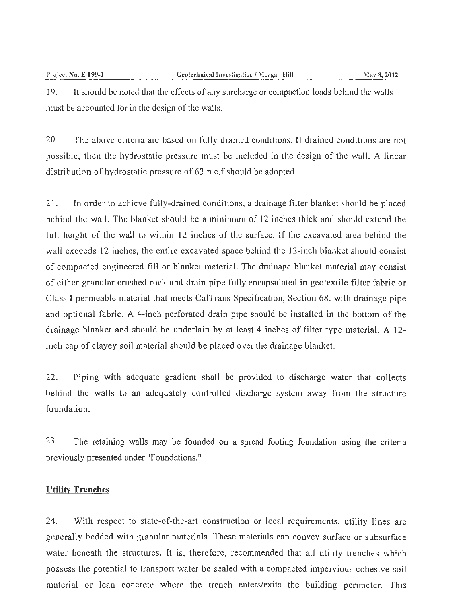19. It should be noted that the effects of any surcharge or compaction loads behind the walls must be accounted for in the design of the walls.

20. The above criteria are based on fully drained conditions. If drained conditions are not possible, then the hydrostatic pressure must be included in the design of the wall. A linear distribution of hydrostatic pressure of 63 p.c.f should be adopted.

21. In order to achieve fully-drained conditions, a drainage filter blanket should be placed behind the wall. The blanket should be a minimum of 12 inches thick and should extend the full height of the wall to within 12 inches of the surface. If the excavated area behind the wall exceeds 12 inches, the entire excavated space behind the 12-inch blanket should consist of compacted engineered fill or blanket material. The drainage blanket material may consist of either granular crushed rock and drain pipe fully encapsulated in geotextilc filter fabric or Class I permeable material that meets CalTrans Specification, Section 68, with drainage pipe and optional fabric. A 4-inch perforated drain pipe should be installed in the bottom of the drainage blanket and should be underlain by at least 4 inches of filter type material. A 12 inch cap of clayey soil material should be placed over the drainage blanket.

22. Piping with adequate gradient shall be provided to discharge water that collects behind the walls to an adequately controlled discharge system away from the structure foundation.

23. The retaining walls may be founded on a spread footing foundation using the criteria previously presented under "Foundations."

#### **Utility Trenches**

24. With respect to state-of-the-art construction or local requirements, utility lines are generally bedded with granular materials. These materials can convey surface or subsurface water beneath the structures. It is, therefore, recommended that all utility trenches which possess the potential to transport water be sealed with a compacted impervious cohesive soil material or lean concrete where the trench enters/exits the building perimeter. This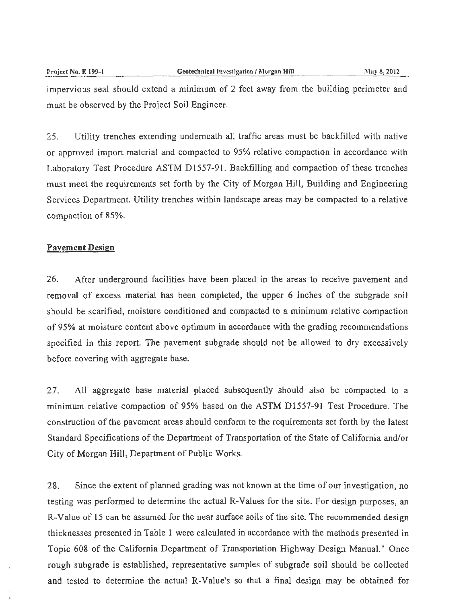impervious seal should extend a minimum of 2 feet away from the building perimeter and must be observed by the Project Soil Engineer.

25. Utility trenches extending underneath all traffic areas must be backfilled with native or approved import material and compacted to 95% relative compaction in accordance with Laboratory Test Procedure ASTM D1557-91. Backfilling and compaction of these trenches must meet the requirements set forth by the City of Morgan Hill, Building and Engineering Services Department. Utility trenches within landscape areas may be compacted to a relative compaction of 85%.

#### **Pavement Design**

26. After underground facilities have been placed in the areas to receive pavement and removal of excess material has been completed, the upper 6 inches of the subgrade soil should be scarified, moisture conditioned and compacted to a minimum relative compaction of 95% at moisture content above optimum in accordance with the grading recommendations specified in this report. The pavement subgrade should not be allowed to dry excessively before covering with aggregate base.

27. All aggregate base material placed subsequently should also be compacted to a minimum relative compaction of 95% based on the ASTM Dl557-91 Test Procedure. The construction of the pavement areas should conform to the requirements set forth by the latest Standard Specifications of the Department of Transportation of the State of California and/or City of Morgan Hill, Department of Public Works.

28. Since the extent of planned grading was not known at the time of our investigation, no testing was performed to determine the actual R-Values for the site. For design purposes, an R-Value of 15 can be assumed for the near surface soils of the site. The recommended design thicknesses presented in Table 1 were calculated in accordance with the methods presented in Topic 608 of the California Department of Transportation Highway Design Manual." Once rough subgrade is established, representative samples of subgrade soil should be collected and tested to determine the actual R-Value's so that a final design may be obtained for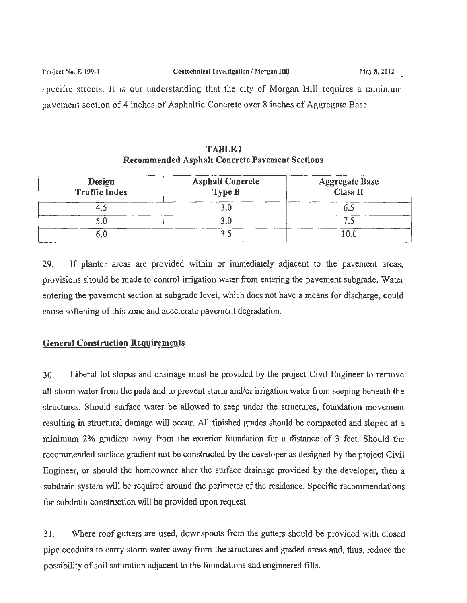specific streets. It is our understanding that the city of Morgan Hill requires a minimum pavement section of 4 inches of Asphaltic Concrete over 8 inches of Aggregate Base

| Design<br>Traffic Index | <b>Asphalt Concrete</b><br>Type B | <b>Aggregate Base</b><br>Class II |  |  |
|-------------------------|-----------------------------------|-----------------------------------|--|--|
|                         |                                   |                                   |  |  |
|                         |                                   |                                   |  |  |
|                         |                                   |                                   |  |  |

TABLE I Recommended Asphalt Concrete Pavement Sections

29. If planter areas are provided within or immediately adjacent to the pavement areas, provisions should be made to control irrigation water from entering the pavement subgrade. Water entering the pavement section at subgrade level, which does not have a means for discharge, could cause softening of this zone and accelerate pavement degradation.

#### General Construction Requirements

30. Liberal lot slopes and drainage must be provided by the project Civil Engineer to remove all storm water from the pads and to prevent storm and/or irrigation water from seeping beneath the structures. Should surface water be allowed to seep under the structures, foundation movement resulting in structural damage will occur. All finished grades should be compacted and sloped at a minimum 2% gradient away from the exterior foundation for a distance of 3 feet. Should the recommended surface gradient not be constructed by the developer as designed by the project Civil Engineer, or should the homeowner alter the surface drainage provided by the developer, then a subdrain system will be required around the perimeter of the residence. Specific recommendations for subdrain construction will be provided upon request.

31 . Where roof gutters are used, downspouts from the gutters should be provided with closed pipe conduits to carry storm water away from the structures and graded areas and, thus, reduce the possibility of soil saturation adjacent to the foundations and engineered fills.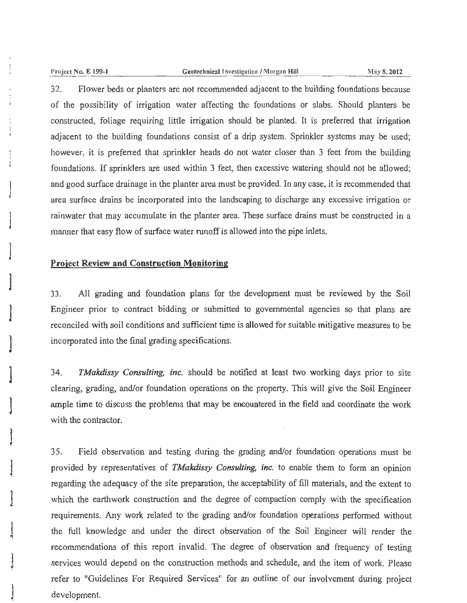]

**J** 

]

]

**l** 

**l** 

!

**l** 

#### Project No. E 199-1 **6. Exerce Equality Contract Limits** Geotechnical Investigation / Morgan Hill **3. 2012** May 8, 2012

32. Flower beds or planters are not recommended adjacent to the building foundations because of the possibility of irrigation water affecting the foundations or slabs. Should planters be constructed, foliage requiring little irrigation should be planted. It is preferred that irrigation adjacent to the building foundations consist of a drip system. Sprinkler systems may be used; however, it is preferred that sprinkler heads do not water closer than 3 feet from the building foundations. If sprinklers are used wjthin 3 feet, then excessive watering should not be allowed; and good surface drainage in the planter area must be provided. In any case, it is recommended that area surface drains be incorporated into the landscaping to discharge any excessive irrigation or rainwater that may accumulate in the planter area. These surface drains must be constructed in a manner that easy flow of surface water runoff is allowed into the pipe inlets.

### **Project Review and Construction Monitoring**

33. All grading and foundation plans for the development must be reviewed by the Soil Engineer prior to contract bidding or submitted to governmental agencies so that plans are reconciled with soil conditions and sufficient time is allowed for suitable mitigative measures to be incorporated into the final grading specifications.

34. *TMakdissy Consulting, inc.* should be notified at least two working days prior to site clearing, grading, and/or foundation operations on the property. This will give the Soil Engineer ample time to discuss the problems that may be encountered in the field and coordinate the work with the contractor.

35. Field observation and testing during the grading and/or foundation operations must be provided by representatives of *TMakdissy Consulting, inc.* to enable them to form an opinion regarding the adequacy of the site preparation, the acceptability of fill materials, and the extent to which the earthwork construction and the degree of compaction comply with the specification requirements. Any work related to the grading and/or foundation operations performed without the full knowledge and under the direct observation of the Soil Engineer will render the recommendations of this report invalid. The degree of observation and frequency of testing services would depend on the construction methods and schedule, and the item of work. Please refer to "Guidelines For Required Services" for an outline of our involvement during project development.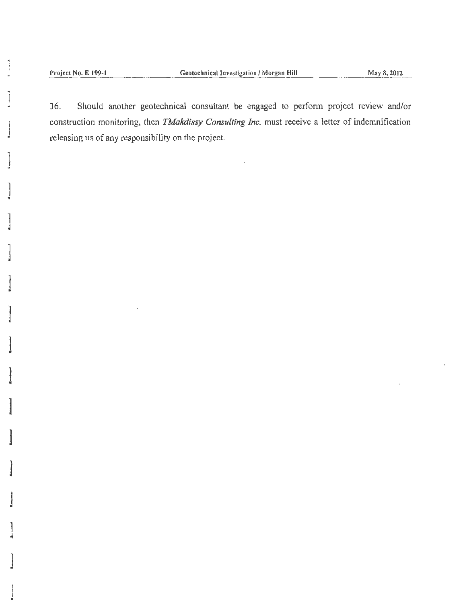Project No. E 199-1

Should another geotechnical consultant be engaged to perform project review and/or 36. construction monitoring, then TMakdissy Consulting Inc. must receive a letter of indemnification releasing us of any responsibility on the project.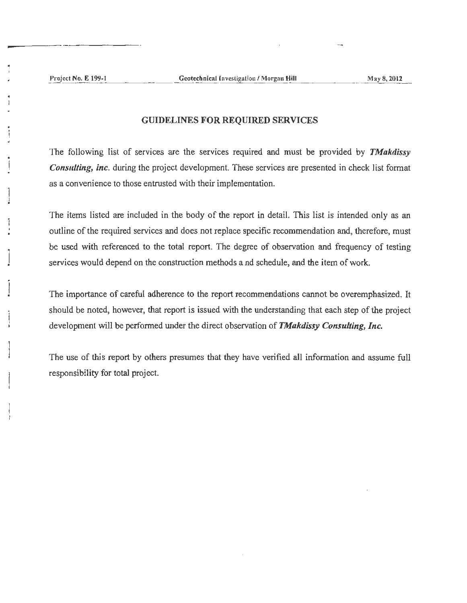#### GUIDELINES FOR REQUIRED SERVICES

The following list of services are the services required and must be provided by *TMakdissy Consulting, inc.* during the project development. These services are presented in check list format as a convenience to those entrusted with their implementation.

The items listed are included in the body of the report in detail. This list is intended only as an outline of the required services and does not replace specific recommendation and, therefore, must be used with referenced to the total report. The degree of observation and frequency of testing services would depend on the construction methods and schedule, and the item of work.

The importance of careful adherence to the report recommendations cannot be overemphasized. It should be noted, however, that report is issued with the understanding that each step of the project development will be performed under the direct observation of *TMakdissy Consulting, Inc.* 

The use of this report by others presumes that they have verified all information and assume full responsibility for total project.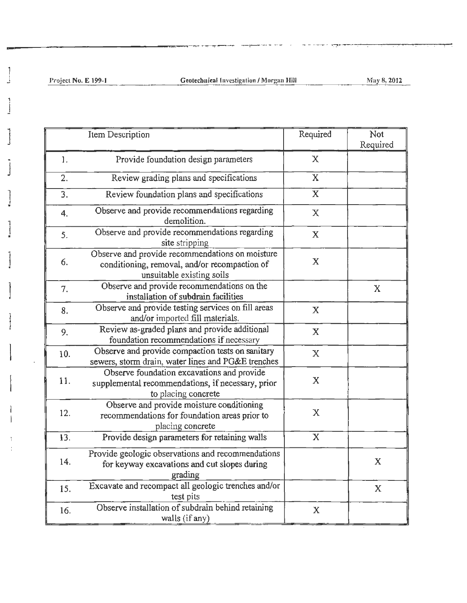J

\_\_\_\_\_\_\_\_\_\_\_\_\_\_\_\_ \_....\_....--:~~- ,,....,...-;-·--- - -----· ~~~ ,.~-~ ....... ---~ .. ~ .. -.--..-..

|     | Item Description                                                                                                              | Required                | <b>Not</b><br>Required |
|-----|-------------------------------------------------------------------------------------------------------------------------------|-------------------------|------------------------|
| 1.  | Provide foundation design parameters                                                                                          | $\mathbf{X}$            |                        |
| 2.  | Review grading plans and specifications                                                                                       | $\mathbf{X}$            |                        |
| 3.  | Review foundation plans and specifications                                                                                    | $\overline{\mathbf{X}}$ |                        |
| 4.  | Observe and provide recommendations regarding<br>demolition.                                                                  | $\mathbf X$             |                        |
| 5.  | Observe and provide recommendations regarding<br>site stripping                                                               | $\mathbf X$             |                        |
| 6.  | Observe and provide recommendations on moisture<br>conditioning, removal, and/or recompaction of<br>unsuitable existing soils | $\mathbf X$             |                        |
| 7.  | Observe and provide recommendations on the<br>installation of subdrain facilities                                             |                         | $\mathbf{X}$           |
| 8.  | Observe and provide testing services on fill areas<br>and/or imported fill materials.                                         | $\mathbf X$             |                        |
| 9.  | Review as-graded plans and provide additional<br>foundation recommendations if necessary                                      | $\mathbf X$             |                        |
| 10. | Observe and provide compaction tests on sanitary<br>sewers, storm drain, water lines and PG&E trenches                        | $\mathbf X$             |                        |
| 11. | Observe foundation excavations and provide<br>supplemental recommendations, if necessary, prior<br>to placing concrete        | $\mathbf X$             |                        |
| 12. | Observe and provide moisture conditioning<br>recommendations for foundation areas prior to<br>placing concrete                | $\mathbf X$             |                        |
| 13. | Provide design parameters for retaining walls                                                                                 | $\overline{\mathbf{X}}$ |                        |
| 14. | Provide geologic observations and recommendations<br>for keyway excavations and cut slopes during<br>grading                  |                         | $\mathbf X$            |
| 15. | Excavate and recompact all geologic trenches and/or<br>test pits                                                              |                         | $\mathbf X$            |
| 16. | Observe installation of subdrain behind retaining<br>walls (if any)                                                           | $\mathbf X$             |                        |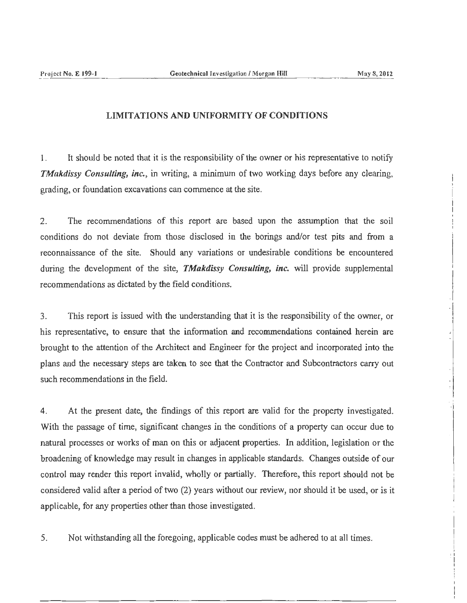. j

 $\left| \right|$  $\mathbf{I}$ I I I I · 1

### LIMITATIONS AND UNIFORMITY OF CONDITIONS

I. It should be noted that it is the responsibility of the owner or his representative to notify *TMakdissy Consulting, inc.,* in writing, a minimum of two working days before any clearing, grading, or foundation excavations can commence at the site.

2. The recommendations of this report are based upon the assumption that the soil conditions do not deviate from those disclosed in the borings and/or test pits and from a reconnaissance of the site. Should any variations or undesirable conditions be encountered during the development of the site, *TMakdissy Consulting, inc.* will provide supplemental recommendations as dictated by the field conditions.

3. This report is issued with the understanding that it is the responsibility of the owner, or his representative, to ensure that the information and recommendations contained herein are brought to the attention of the Architect and Engineer for the project and incorporated into the plans and the necessary steps are taken to see that the Contractor and Subcontractors carry out such recommendations in the field.

4. At the present date, the findings of this report are valid for the property investigated. With the passage of time, significant changes in the conditions of a property can occur due to natural processes or works of man on this or adjacent properties. In addition, legislation or the broadening of knowledge may result in changes in applicable standards. Changes outside of our control may render this report invalid, wholly or partially. Therefore, this report should not be considered valid after a period of two (2) years without our review, nor should it be used, or is it applicable, for any properties other than those investigated.

5. Not withstanding all the foregoing, applicable codes must be adhered to at all times.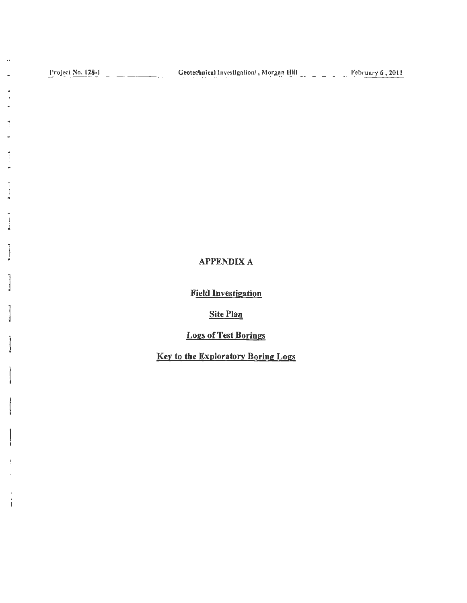, I I

 $\overline{\mathcal{A}}$ J.

 $\ddot{\phantom{0}}$ 

 $\ddot{ }$ ÷

..

F

×

 $\frac{1}{1}$ J

 $\mathbf{I}$ •

]

]

 $\mathbf{I}$ 

 $\mathbf{I}$ 

## APPENDIX A

Field Investigation

Site Plan

Logs of Test Borings

Key to the Exploratory Boring Logs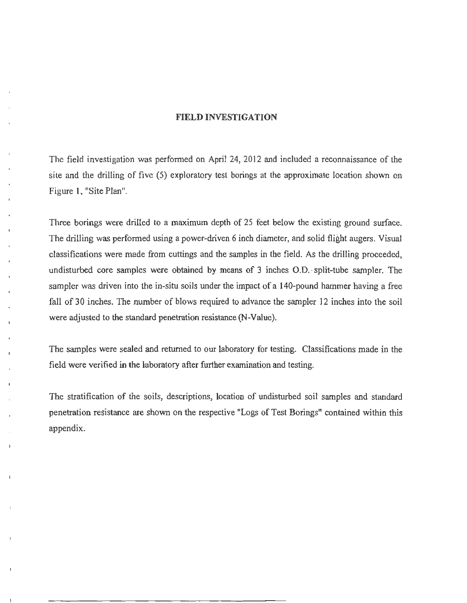#### FIELD INVESTIGATION

The field investigation was performed on April 24, 2012 and included a reconnaissance of the site and the drilling of five (5) exploratory test borings at the approximate location shown on Figure 1, "Site Plan".

Three borings were drilled to a maximum depth of 25 feet below the existing ground surface. The drilling was performed using a power-driven 6 inch diameter, and solid flight augers. Visual classifications were made from cuttings and the samples in the field. As the drilling proceeded, undisturbed core samples were obtained by means of 3 inches O.D. split-tube sampler. The sampler was driven into the in-situ soils under the impact of a 140-pound hammer having a free fall of 30 inches. The number of blows required to advance the sampler 12 inches into the soil were adjusted to the standard penetration resistance (N-Value).

The samples were sealed and returned to our laboratory for testing. Classifications made in the field were verified in the laboratory after further examination and testing.

The stratification of the soils, descriptions, location of undisturbed soil samples and standard penetration resistance are shown on the respective "Logs of Test Borings" contained within this appendix.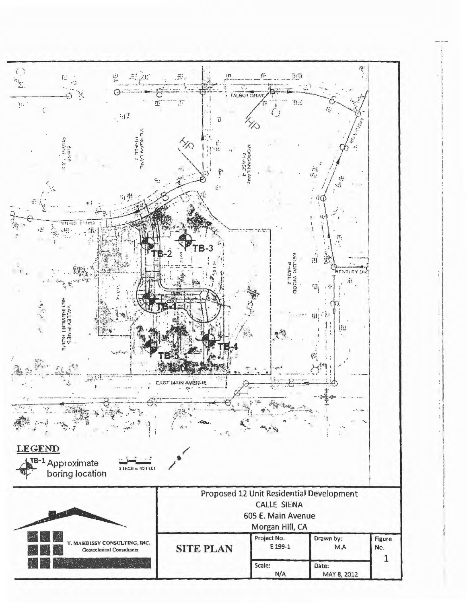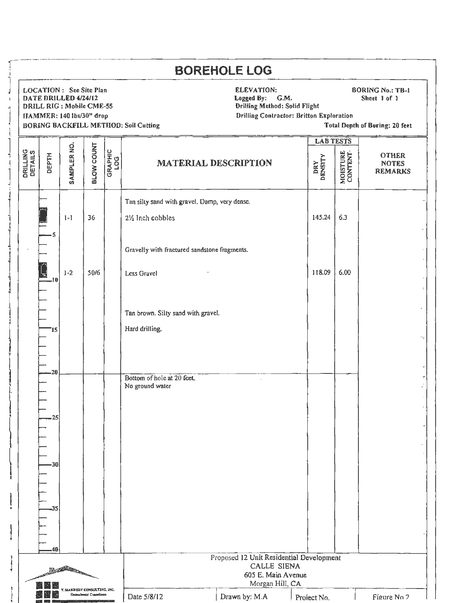| <b>LAB TESTS</b><br>BLOW COUNT<br>SAMPLER NO.<br>GRAPHIC<br>LOG<br>MOISTURE<br>CONTENT<br>DEPTH<br><b>OTHER</b><br>DRY<br>DENSITY<br><b>MATERIAL DESCRIPTION</b><br><b>NOTES</b><br>Tan silty sand with gravel. Damp, very dense.<br>6.3<br>145.24<br>$1 - 1$<br>36<br>21/ <sub>2</sub> Inch cobbles<br>5<br>Gravelly with fractured sandstone fragments.<br>118.09<br>6.00<br>$1 - 2$<br>50/6<br>Less Gravel<br>-10<br>Tan brown. Silty sand with gravel.<br>Hard drilling.<br>'15<br>20<br>Bottom of hole at 20 feet.<br>No ground water<br>25<br>30<br>35<br>40<br>Proposed 12 Unit Residential Development<br><b>CALLE SIENA</b><br>605 E. Main Avenue |                     | DATE DRILLED 4/24/12 |  | LOCATION : See Site Plan<br>DRILL RIG : Mobile CME-55<br>HAMMER: 140 lbs/30" drop |  | <b>BORING BACKFILL METHOD: Soil Cutting</b> | <b>BOREHOLE LOG</b><br><b>ELEVATION:</b><br><b>BORING No.: TB-1</b><br>Logged By:<br>G.M.<br>Sheet 1 of 1<br><b>Drilling Method: Solid Flight</b><br><b>Drilling Contractor: Britton Exploration</b><br><b>Total Depth of Boring: 20 feet</b> |  |  |                |  |
|------------------------------------------------------------------------------------------------------------------------------------------------------------------------------------------------------------------------------------------------------------------------------------------------------------------------------------------------------------------------------------------------------------------------------------------------------------------------------------------------------------------------------------------------------------------------------------------------------------------------------------------------------------|---------------------|----------------------|--|-----------------------------------------------------------------------------------|--|---------------------------------------------|-----------------------------------------------------------------------------------------------------------------------------------------------------------------------------------------------------------------------------------------------|--|--|----------------|--|
|                                                                                                                                                                                                                                                                                                                                                                                                                                                                                                                                                                                                                                                            |                     |                      |  |                                                                                   |  |                                             |                                                                                                                                                                                                                                               |  |  |                |  |
|                                                                                                                                                                                                                                                                                                                                                                                                                                                                                                                                                                                                                                                            | DRILLING<br>DETAILS |                      |  |                                                                                   |  |                                             |                                                                                                                                                                                                                                               |  |  | <b>REMARKS</b> |  |
|                                                                                                                                                                                                                                                                                                                                                                                                                                                                                                                                                                                                                                                            |                     |                      |  |                                                                                   |  |                                             |                                                                                                                                                                                                                                               |  |  |                |  |
|                                                                                                                                                                                                                                                                                                                                                                                                                                                                                                                                                                                                                                                            |                     |                      |  |                                                                                   |  |                                             |                                                                                                                                                                                                                                               |  |  |                |  |
|                                                                                                                                                                                                                                                                                                                                                                                                                                                                                                                                                                                                                                                            |                     |                      |  |                                                                                   |  |                                             |                                                                                                                                                                                                                                               |  |  |                |  |
|                                                                                                                                                                                                                                                                                                                                                                                                                                                                                                                                                                                                                                                            |                     |                      |  |                                                                                   |  |                                             |                                                                                                                                                                                                                                               |  |  |                |  |
|                                                                                                                                                                                                                                                                                                                                                                                                                                                                                                                                                                                                                                                            |                     |                      |  |                                                                                   |  |                                             |                                                                                                                                                                                                                                               |  |  |                |  |
|                                                                                                                                                                                                                                                                                                                                                                                                                                                                                                                                                                                                                                                            |                     |                      |  |                                                                                   |  |                                             |                                                                                                                                                                                                                                               |  |  |                |  |
|                                                                                                                                                                                                                                                                                                                                                                                                                                                                                                                                                                                                                                                            |                     |                      |  |                                                                                   |  |                                             |                                                                                                                                                                                                                                               |  |  |                |  |
|                                                                                                                                                                                                                                                                                                                                                                                                                                                                                                                                                                                                                                                            |                     |                      |  |                                                                                   |  |                                             |                                                                                                                                                                                                                                               |  |  |                |  |
| Morgan Hill, CA                                                                                                                                                                                                                                                                                                                                                                                                                                                                                                                                                                                                                                            |                     |                      |  |                                                                                   |  |                                             |                                                                                                                                                                                                                                               |  |  |                |  |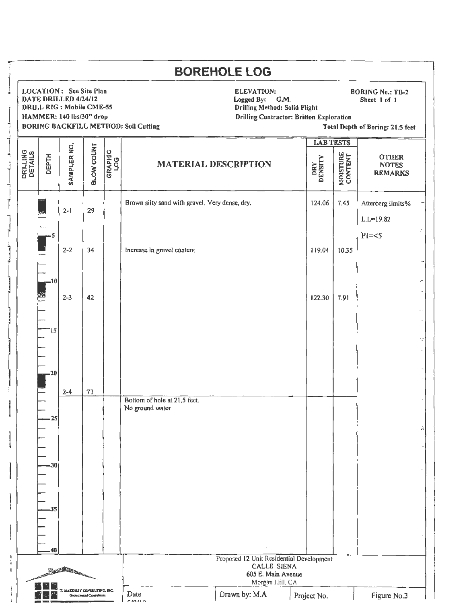|                            |                       |                                                                                                                 |                                                           |                |                                                 | <b>BOREHOLE LOG</b>                                                                                                                                                                                        |                  |                            |                                                |  |
|----------------------------|-----------------------|-----------------------------------------------------------------------------------------------------------------|-----------------------------------------------------------|----------------|-------------------------------------------------|------------------------------------------------------------------------------------------------------------------------------------------------------------------------------------------------------------|------------------|----------------------------|------------------------------------------------|--|
|                            |                       | <b>LOCATION: See Site Plan</b><br>DATE DRILLED 4/24/12<br>DRILL RIG : Mobile CME-55<br>HAMMER: 140 lbs/30" drop |                                                           |                | <b>BORING BACKFILL METHOD: Soil Cutting</b>     | ELEVATION:<br><b>BORING No.: TB-2</b><br>Logged By:<br>G.M.<br>Sheet 1 of 1<br><b>Drilling Method: Solid Flight</b><br><b>Drilling Contractor: Britton Exploration</b><br>Total Depth of Boring: 21.5 feet |                  |                            |                                                |  |
|                            |                       |                                                                                                                 |                                                           |                |                                                 |                                                                                                                                                                                                            | <b>LAB TESTS</b> |                            |                                                |  |
| <b>DRILLING</b><br>DETAILS | DEPTH                 | SAMPLER NO.                                                                                                     | <b>BLOW COUNT</b>                                         | GRAPHIC<br>LOG | <b>MATERIAL DESCRIPTION</b>                     |                                                                                                                                                                                                            | DRY<br>DENSITY   | <b>MOISTURE</b><br>CONTENT | <b>OTHER</b><br><b>NOTES</b><br><b>REMARKS</b> |  |
|                            | 5                     | $2 - 1$                                                                                                         | 29                                                        |                | Brown silty sand with gravel. Very dense, dry.  |                                                                                                                                                                                                            | 124.06           | 7.45                       | Atterberg limits%<br>$L.L = 19.82$<br>$PI=<5$  |  |
|                            | .10                   | $2 - 2$                                                                                                         | 34                                                        |                | Increase in gravel content                      |                                                                                                                                                                                                            | 119.04           | 10.35                      |                                                |  |
|                            | 15<br>20              | $2 - 3$<br>$2 - 4$                                                                                              | 42<br>71                                                  |                |                                                 |                                                                                                                                                                                                            | 122.30           | 7.91                       |                                                |  |
|                            | 25<br>-30<br>35<br>40 |                                                                                                                 |                                                           |                | Bottom of hole at 21.5 fect.<br>No ground water |                                                                                                                                                                                                            |                  |                            |                                                |  |
|                            |                       | Rest Property                                                                                                   |                                                           |                |                                                 | Proposed 12 Unit Residential Development<br>CALLE SIENA<br>605 E. Main Avenue<br>Morgan Hill, CA                                                                                                           |                  |                            |                                                |  |
|                            |                       |                                                                                                                 | T. MAKDISSY CONSULTING, INC.<br>Geotechnical Constitution |                | Date<br><b>PINITI</b>                           | Drawn by: M.A                                                                                                                                                                                              | Project No.      |                            | Figure No.3                                    |  |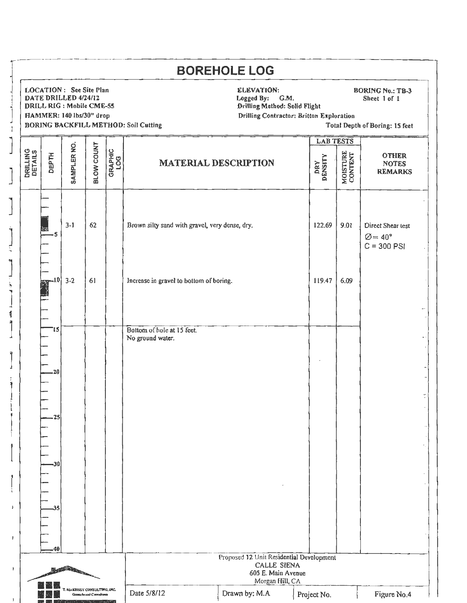|                                                                                                                     |                               | LOCATION: See Site Plan<br>DATE DRILLED 4/24/12<br>DRILL RIG: Mobile CME-55<br>HAMMER: 140 lbs/30" drop |                   |                | <b>BORING BACKFILL METHOD: Soil Cutting</b>    | <b>ELEVATION:</b><br><b>BORING No.: TB-3</b><br>Logged By:<br>G.M.<br>Sheet 1 of 1<br>Drilling Method: Solid Flight<br><b>Drilling Contractor: Britton Exploration</b><br>Total Depth of Boring: 15 feet |                                    |                            |                                                                  |  |
|---------------------------------------------------------------------------------------------------------------------|-------------------------------|---------------------------------------------------------------------------------------------------------|-------------------|----------------|------------------------------------------------|----------------------------------------------------------------------------------------------------------------------------------------------------------------------------------------------------------|------------------------------------|----------------------------|------------------------------------------------------------------|--|
| <b>DRILLING</b><br>DETAILS                                                                                          | <b>DEPTH</b>                  | SAMPLER NO.                                                                                             | <b>BLOW COUNT</b> | GRAPHIC<br>LOG | <b>MATERIAL DESCRIPTION</b>                    |                                                                                                                                                                                                          | <b>LAB TESTS</b><br>DRY<br>DENSITY | <b>MOISTURE</b><br>CONTENT | <b>OTHER</b><br><b>NOTES</b><br><b>REMARKS</b>                   |  |
|                                                                                                                     | 5                             | $3-1$                                                                                                   | 62                |                | Brown silty sand with gravel, very dense, dry. |                                                                                                                                                                                                          | 122.69                             | 9.01                       | Direct Shear test<br>$\varnothing = 40^{\circ}$<br>$C = 300$ PSI |  |
|                                                                                                                     | -10                           | $3-2$                                                                                                   | 61                |                | Increase in gravel to bottom of boring.        |                                                                                                                                                                                                          | 119.47                             | 6.09                       |                                                                  |  |
|                                                                                                                     | 15<br>.20<br>.25<br>-30<br>35 |                                                                                                         |                   |                | Bottom of hole at 15 feet.<br>No ground water. |                                                                                                                                                                                                          |                                    |                            |                                                                  |  |
| .40<br>Proposed 12 Unit Residential Development<br><b>CALLE SIENA</b><br><b>REAL PROPERTY</b><br>605 E. Main Avenue |                               |                                                                                                         |                   |                |                                                |                                                                                                                                                                                                          |                                    |                            |                                                                  |  |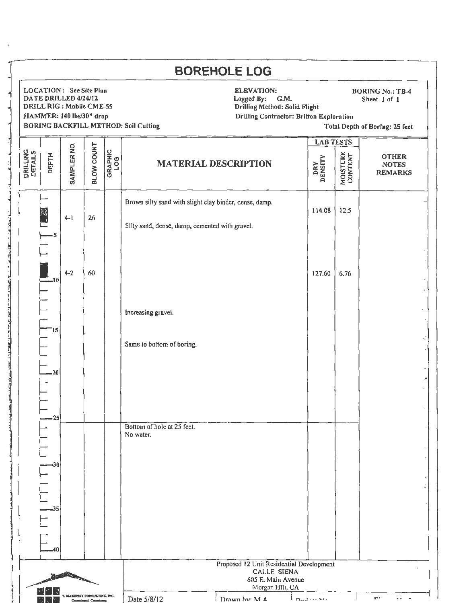|                            |                         | <b>LOCATION: See Site Plan</b><br>DATE DRILLED 4/24/12<br>DRILL RIG : Mobile CME-55<br>HAMMER: 140 lbs/30" drop |                   |                | <b>BORING BACKFILL METHOD: Soil Cutting</b>                                                              | <b>ELEVATION:</b><br><b>BORING No.: TB-4</b><br>Logged By: G.M.<br>Sheet 1 of 1<br>Drilling Method: Solid Flight<br><b>Drilling Contractor: Britton Exploration</b><br>Total Depth of Boring: 25 feet |                  |                            |                                                |  |
|----------------------------|-------------------------|-----------------------------------------------------------------------------------------------------------------|-------------------|----------------|----------------------------------------------------------------------------------------------------------|-------------------------------------------------------------------------------------------------------------------------------------------------------------------------------------------------------|------------------|----------------------------|------------------------------------------------|--|
|                            |                         |                                                                                                                 |                   |                |                                                                                                          |                                                                                                                                                                                                       | <b>LAB TESTS</b> |                            |                                                |  |
| <b>DRILLING</b><br>DETAILS | <b>DEPTH</b>            | SAMPLER NO.                                                                                                     | <b>BLOW COUNT</b> | GRAPHIC<br>LOG | <b>MATERIAL DESCRIPTION</b>                                                                              |                                                                                                                                                                                                       | DRY<br>DENSITY   | <b>MOISTURE</b><br>CONTENT | <b>OTHER</b><br><b>NOTES</b><br><b>REMARKS</b> |  |
|                            | $\overline{\mathbf{5}}$ | $4 - 1$                                                                                                         | 26                |                | Brown silty sand with slight clay binder, dense, damp.<br>Silty sand, dense, damp, cemented with gravel. |                                                                                                                                                                                                       | 114.08           | 12.5                       |                                                |  |
|                            | $-10$                   | $4 - 2$                                                                                                         | 60                |                |                                                                                                          |                                                                                                                                                                                                       | 127.60           | 6.76                       |                                                |  |
|                            | '15                     |                                                                                                                 |                   |                | Increasing gravel.                                                                                       |                                                                                                                                                                                                       |                  |                            |                                                |  |
|                            | .20                     |                                                                                                                 |                   |                | Same to bottom of boring.                                                                                |                                                                                                                                                                                                       |                  |                            |                                                |  |
|                            | 25                      |                                                                                                                 |                   |                | Bottom of hole at 25 feet.                                                                               |                                                                                                                                                                                                       |                  |                            |                                                |  |
|                            | -30                     |                                                                                                                 |                   |                | No water.                                                                                                |                                                                                                                                                                                                       |                  |                            |                                                |  |
|                            | 35                      |                                                                                                                 |                   |                |                                                                                                          |                                                                                                                                                                                                       |                  |                            |                                                |  |
|                            | 40                      |                                                                                                                 |                   |                |                                                                                                          |                                                                                                                                                                                                       |                  |                            |                                                |  |
| <b>REAL PROPERTY</b>       |                         |                                                                                                                 |                   |                | Proposed 12 Unit Residential Development<br>CALLE SIENA<br>605 E. Main Avenue                            |                                                                                                                                                                                                       |                  |                            |                                                |  |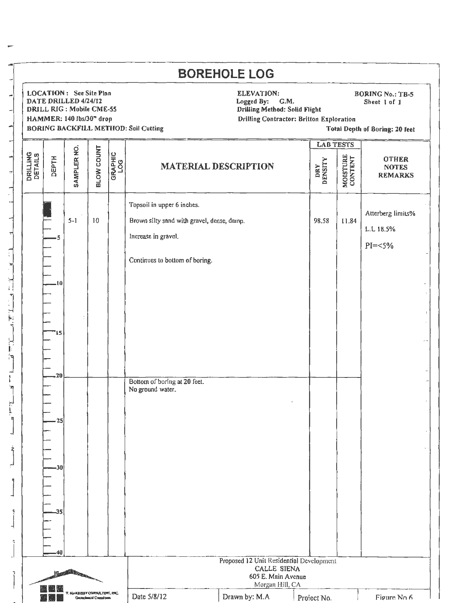| <b>LOCATION: See Site Pinn</b><br>DATE DRILLED 4/24/12<br><b>DRILL RIG: Mobile CME-55</b><br>HAMMER: 140 lbs/30" drop |                 |                   |                | <b>BORING BACKFILL METHOD: Soil Cutting</b>                                                                                       | ELEVATION:<br><b>BORING No.: TB-5</b><br>Logged By:<br>G.M.<br>Sheet 1 of 1<br><b>Drilling Method: Solid Flight</b><br><b>Drilling Contractor: Britton Exploration</b><br>Total Depth of Boring: 20 feet |                  |                            |                                                |
|-----------------------------------------------------------------------------------------------------------------------|-----------------|-------------------|----------------|-----------------------------------------------------------------------------------------------------------------------------------|----------------------------------------------------------------------------------------------------------------------------------------------------------------------------------------------------------|------------------|----------------------------|------------------------------------------------|
|                                                                                                                       |                 |                   |                |                                                                                                                                   |                                                                                                                                                                                                          | <b>LAB TESTS</b> |                            |                                                |
| <b>DRILLING</b><br>DETAILS<br><b>DEPTH</b>                                                                            | SAMPLER NO.     | <b>SLOW COUNT</b> | GRAPHIC<br>LOG | <b>MATERIAL DESCRIPTION</b>                                                                                                       |                                                                                                                                                                                                          | DENSITY<br>DRY   | <b>MOISTURE</b><br>CONTENT | <b>OTHER</b><br><b>NOTES</b><br><b>REMARKS</b> |
| 5<br>.10<br>15                                                                                                        | $5 - 1$         | 10                |                | Topsoil in upper 6 inches.<br>Brown silty sand with gravel, dense, damp.<br>Increase in gravel.<br>Continues to bottom of boring. |                                                                                                                                                                                                          | 98.58            | 11.84                      | Atterberg limits%<br>L.L 18.5%<br>$PI = <5%$   |
| -20<br>25                                                                                                             |                 |                   |                | Bottom of boring at 20 feet.<br>No ground water.                                                                                  |                                                                                                                                                                                                          |                  |                            |                                                |
| $-30$<br>35<br>40                                                                                                     | <b>Caroline</b> |                   |                |                                                                                                                                   | Proposed 12 Unit Residential Development<br><b>CALLE SIENA</b><br>605 E. Main Avenue                                                                                                                     |                  |                            |                                                |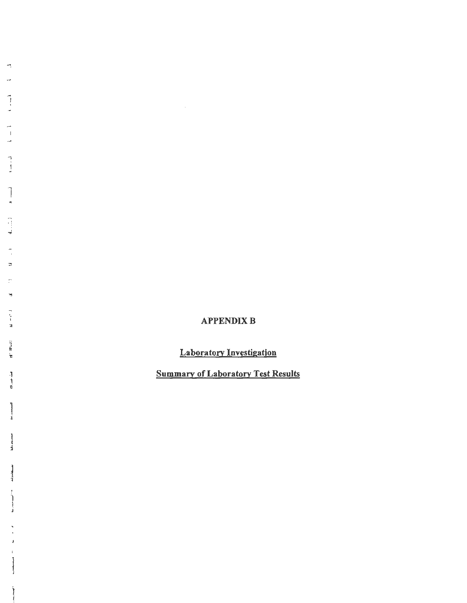# **APPENDIX B**

 $\sim 10^{11}$ 

**Laboratory Investigation** 

**Summary of Laboratory Test Results**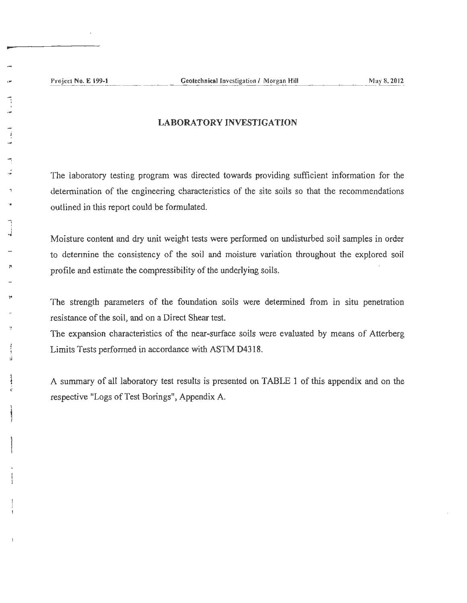### LABORATORY INVESTIGATION

The laboratory testing program was directed towards providing sufficient information for the determination of the engineering characteristics of the site soils so that the recommendations outlined in this report could be formulated.

Moisture content and dry unit weight tests were performed on undisturbed soil samples in order to determine the consistency of the soil and moisture variation throughout the explored soil profile and estimate the compressibility of the underlying soils.

The strength parameters of the foundation soils were determined from in situ penetration resistance of the soil, and on a Direct Shear test.

The expansion characteristics of the near-surface soils were evaluated by means of Atterberg Limits Tests performed in accordance with ASTM D4318.

A summary of all laboratory test results is presented on TABLE 1 of this appendix and on the respective "Logs of Test Borings", Appendix A.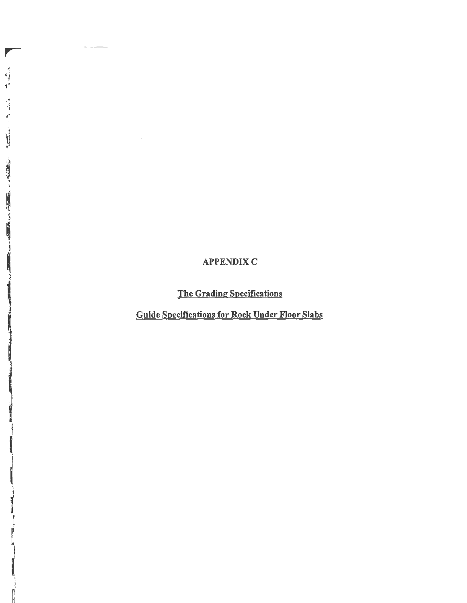# **APPENDIX C**

╿

 $\begin{array}{c} \bullet \\ \bullet \\ \bullet \\ \bullet \end{array} \begin{array}{c} \bullet \\ \bullet \\ \bullet \\ \bullet \end{array}$ 

一、 这是 经工作服务

**「地震」、「国内の地震」、「国内の地震」、「地震」、「地震」、「** 

The Grading Specifications

Guide Specifications for Rock Under Floor Slabs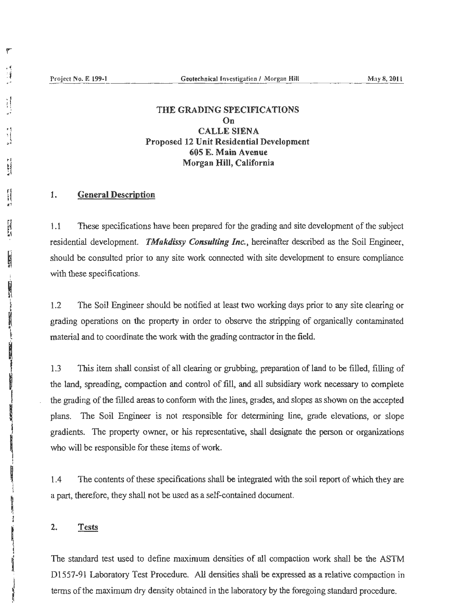r

 $\frac{1}{2}$ 

 $\frac{1}{1}$ 'I •'

**PARTER** 

i<br>R

**Control** Property

in the control of the control of the control of the control of the control of the control of the control of the control of the control of the control of the control of the control of the control of the control of the contr

## THE GRADING SPECIFICATIONS On CALLE SIENA Proposed 12 Unit Residential Development 605 E. Main Avenue Morgan Hill, California

### 1. General Description

1 .1 These specifications have been prepared for the grading and site development of the subject residential development. *TMakdissy Consulting Inc.,* hereinafter described as the Soil Engineer, should be consulted prior to any site work connected with site development to ensure compliance with these specifications.

1.2 The Soil Engineer should be notified at least two working days prior to any site clearing or grading operations on the property in order to observe the stripping of organically contaminated material and to coordinate the work with the grading contractor in the field.

1.3 This item shall consist of all clearing or grubbing, preparation of land to be filled, filling of the land, spreading, compaction and control of fill, and all subsidiary work necessary to complete the grading of the filled areas to conform with the lines, grades, and slopes as shown on the accepted plans. The Soil Engineer is not responsible for determining line, grade elevations, or slope gradients. The property owner, or his representative, shall designate the person or organizations who will be responsible for these items of work.

1. 4 The contents of these specifications shall be integrated with the soil report of which they are a part, therefore, they shall not be used as a self-contained document.

#### 2. Tests

The standard test used to define maximum densities of all compaction work shall be the ASTM Dl557-91 Laboratory Test Procedure. All densities shall be expressed as a relative compaction in tenns of the maximwn dry density obtained in the laboratory by the foregoing standard procedure.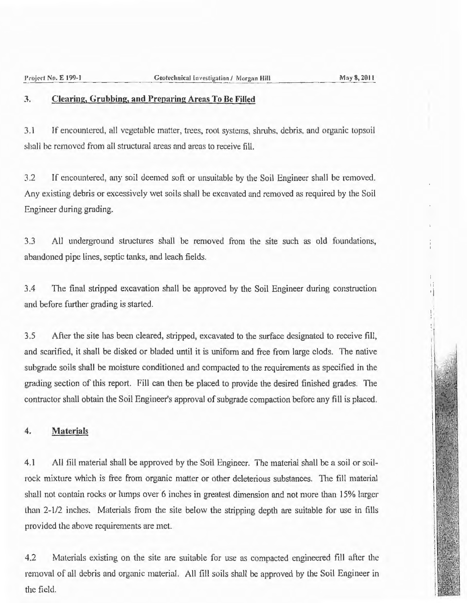·I

### 3. Clearing, Grubbing, and Preparing Areas To Be Filled

3.1 If encountered, all vegetable matter, trees, root systems, shrubs, debris, and organic topsoil shall be removed from all structural areas and areas to receive fill.

3.2 If encountered, any soil deemed soft or unsuitable by the Soil Engineer shall be removed. Any existing debris or excessively wet soils shall be excavated and removed as required by the Soil Engineer during grading.

3.3 All underground structures shall be removed from the site such as old foundations, abandoned pipe lines, septic tanks, and leach fields.

3.4 The final stripped excavation shall be approved by the Soil Engineer during construction and before further grading is started.

3.5 After the site has been cleared, stripped, excavated to the surface designated to receive fill, and scarified, it shall be disked or bladed until it is unifonn and free from large clods. The native subgradc soils shall be moisture conditioned and compacted to the requirements as specified in the grading section of this report. Fill can then be placed to provide the desired finished grades. The contractor shall obtain the Soil Engineer's approval of subgrade compaction before any fill is placed.

### 4. Materials

4.1 All fill material shall be approved by the Soil Engineer. The material shall be a soil or soilrock mixture which is free from organic matter or other deleterious substances. The fill material shall not contain rocks or lumps over 6 inches in greatest dimension and not more than 15% larger than 2-1/2 inches. Materials from the site below the stripping depth are suitable for use in fills provided the above requirements are met.

4.2 Materials existing on the site are suitable for use as compacted engineered fill after the removal of all debris and organic material. All fill soils shall be approved by the Soil Engineer in the field.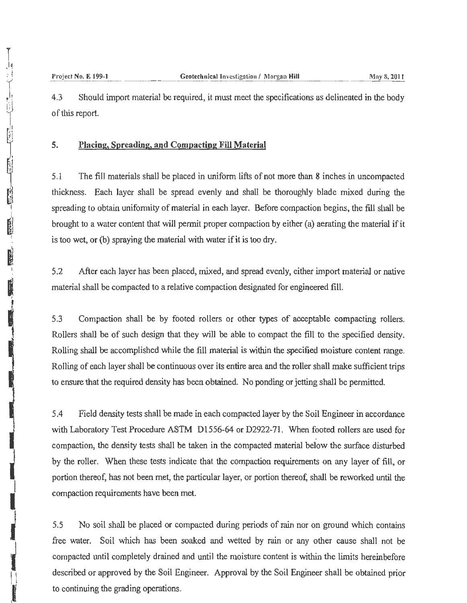4.3 Should import material be required, it must meet the specifications as delineated in the body of this report.

### **5. Placing, Spreading, and Compacting Fill Material**

5 .1 The fill materials shall be placed in uniform lifts of not more than 8 inches in uncompacted thickness. Each Jayer shall be spread evenly and shall be thoroughly blade mixed during the spreading to obtain uniformity of material in each layer. Before compaction begins, the fill shall be brought to a water content that will permit proper compaction by either (a) aerating the material if it is too wet, or (b) spraying the material with water if it is too dry.

5.2 After each layer has been placed, mixed, and spread evenly, either import material or native material shall be compacted to a relative compaction designated for engineered fill.

5.3 Compaction shall be by footed rollers or other types of acceptable compacting rollers. Rollers shall be of such design that they will be able to compact the fill to the specified density. Rolling shall be accomplished while the fill material is within the specified moisture content range. Rolling of each layer shall be continuous over its entire area and the roller shall make sufficient trips to ensure that the required density has been obtained. No ponding or jetting shall be permitted.

5.4 Field density tests shall be made in each compacted layer by the Soil Engineer in accordance with Laboratory Test Procedure ASTM Dl556-64 or D2922-71. When footed rollers are used for compaction, the density tests shall be taken in the compacted material below the surface disturbed by the roller. When these tests indicate that the compaction requirements on any layer of fill, or portion thereof, has not been met, the particular layer, or portion thereof, shall be reworked until the compaction requirements have been met.

5.5 No soil shall be placed or compacted during periods of rain nor on ground which contains free water. Soil which has been soaked and wetted by rain or any other cause shall not be compacted until completely drained and until the moisture content is within the limits hereinbefore described or approved by the Soil Engineer. Approval by the Soil Engineer shall be obtained prior to continuing the grading operations.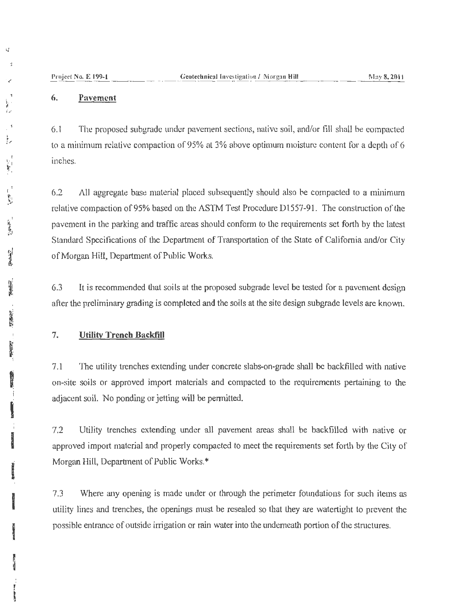### 6. **Pavement**

6.1 The proposed subgradc under pavement sections, native soil, and/or fill shall be compacted to a minimum relative compaction of 95% at 3% above optimum moisture content for a depth of 6 inches.

6.2 All aggregate base material placed subsequently should also he compacted to a minimum relative compaction of95% based on the ASTM Test Procedure Dl557-91. The constmction of the pavement in the parking and traffic areas should conform to the requirements set forth by the latest Standard Specifications of the Department of Transportation of the State of California and/or City of Morgan Hill, Department of Public Works.

6.3 It is recommended that soils at the proposed subgrade level be tested for a pavement design after the preliminary grading is completed and the soils at the site design subgrade levels are known.

### 7. **Utility Trench Backfill**

7.1 The utility trenches extending under concrete slabs-on-grade shall be backfilled with native on-site soils or approved import materials and compacted to the requirements pertaining to the adjacent soil. No ponding or jetting will be pennitted.

7.2 Utility trenches extending under all pavement areas shall be backfilled with native or approved import material and properly compacted to meet the requirements set forth by the City of Morgan Hill, Department of Public Works.\*

7.3 Where any opening is made under or through the perimeter foundations for such items as utility lines and trenches, the openings must be resealed so that they are watertight to prevent the possible entrance of outside irrigation or rain water into the underneath portion of the structures.

 $\overline{u}$ 

**l** 

'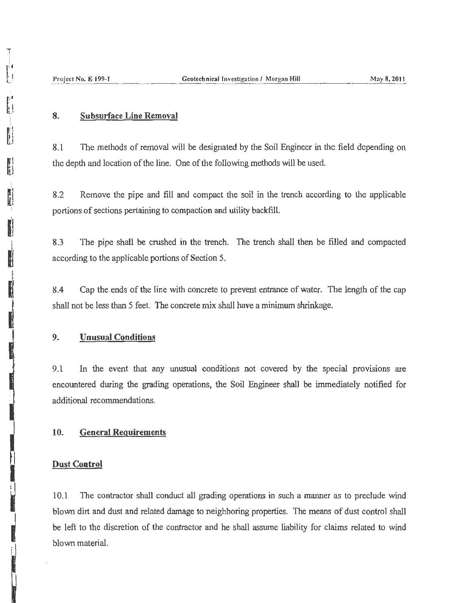### 8. Subsurface Line Removal

8.1 The methods of removal will be designated by the Soil Engineer in the field depending on the depth and location of the line. One of the following methods will be used.

8.2 Remove the pipe and fill and compact the soil in the trench according to the applicable portions of sections pertaining to compaction and utility backfill.

8.3 The pipe shall be crushed in the trench. The trench shall then be filled and compacted according to the applicable portions of Section 5.

8 .4 Cap the ends of the line with concrete to prevent entrance of water. The length of the cap shall not be less than 5 feet. The concrete mix shall have a minimum shrinkage.

### 9. Unusual Conditions

9.1 In the event that any unusual conditions not covered by the special provisions are encountered during the grading operations, the Soil Engineer shall be immediately notified for additional recommendations.

### 10. General Requirements

#### Dust Control

10.1 The contractor shall conduct all grading operations in such a manner as to preclude wind blown dirt and dust and related damage to neighboring properties. The means of dust control shall be left to the discretion of the contractor and he shall assume liability for claims related to wind blown material.

I '<br>I